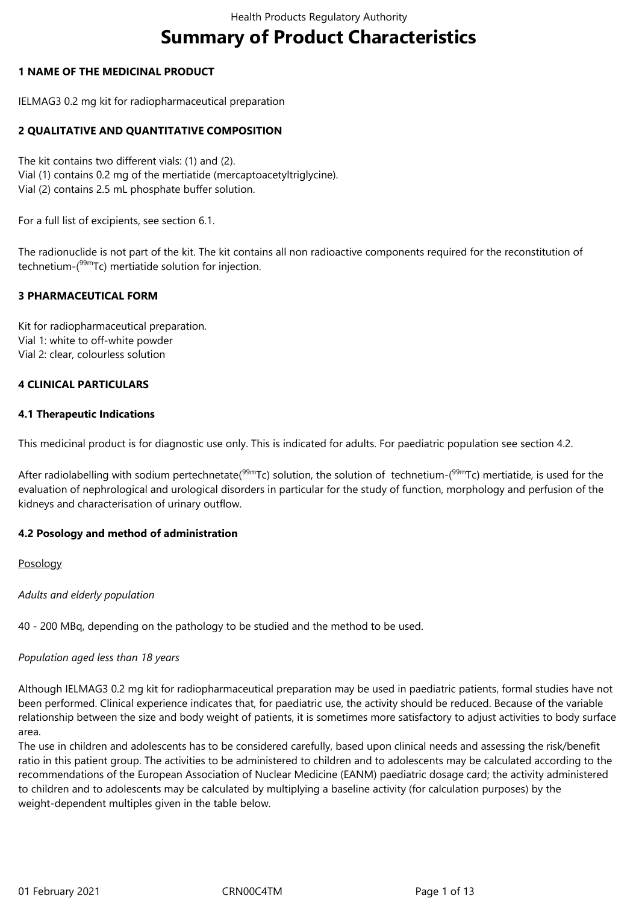# **Summary of Product Characteristics**

# **1 NAME OF THE MEDICINAL PRODUCT**

IELMAG3 0.2 mg kit for radiopharmaceutical preparation

# **2 QUALITATIVE AND QUANTITATIVE COMPOSITION**

The kit contains two different vials: (1) and (2). Vial (1) contains 0.2 mg of the mertiatide (mercaptoacetyltriglycine). Vial (2) contains 2.5 mL phosphate buffer solution.

For a full list of excipients, see section 6.1.

The radionuclide is not part of the kit. The kit contains all non radioactive components required for the reconstitution of technetium- $(^{99m}$ Tc) mertiatide solution for injection.

# **3 PHARMACEUTICAL FORM**

Kit for radiopharmaceutical preparation. Vial 1: white to off-white powder Vial 2: clear, colourless solution

# **4 CLINICAL PARTICULARS**

# **4.1 Therapeutic Indications**

This medicinal product is for diagnostic use only. This is indicated for adults. For paediatric population see section 4.2.

After radiolabelling with sodium pertechnetate( $99mTc$ ) solution, the solution of technetium-( $99mTc$ ) mertiatide, is used for the evaluation of nephrological and urological disorders in particular for the study of function, morphology and perfusion of the kidneys and characterisation of urinary outflow.

# **4.2 Posology and method of administration**

Posology

*Adults and elderly population*

40 - 200 MBq, depending on the pathology to be studied and the method to be used.

# *Population aged less than 18 years*

Although IELMAG3 0.2 mg kit for radiopharmaceutical preparation may be used in paediatric patients, formal studies have not been performed. Clinical experience indicates that, for paediatric use, the activity should be reduced. Because of the variable relationship between the size and body weight of patients, it is sometimes more satisfactory to adjust activities to body surface area.

The use in children and adolescents has to be considered carefully, based upon clinical needs and assessing the risk/benefit ratio in this patient group. The activities to be administered to children and to adolescents may be calculated according to the recommendations of the European Association of Nuclear Medicine (EANM) paediatric dosage card; the activity administered to children and to adolescents may be calculated by multiplying a baseline activity (for calculation purposes) by the weight-dependent multiples given in the table below.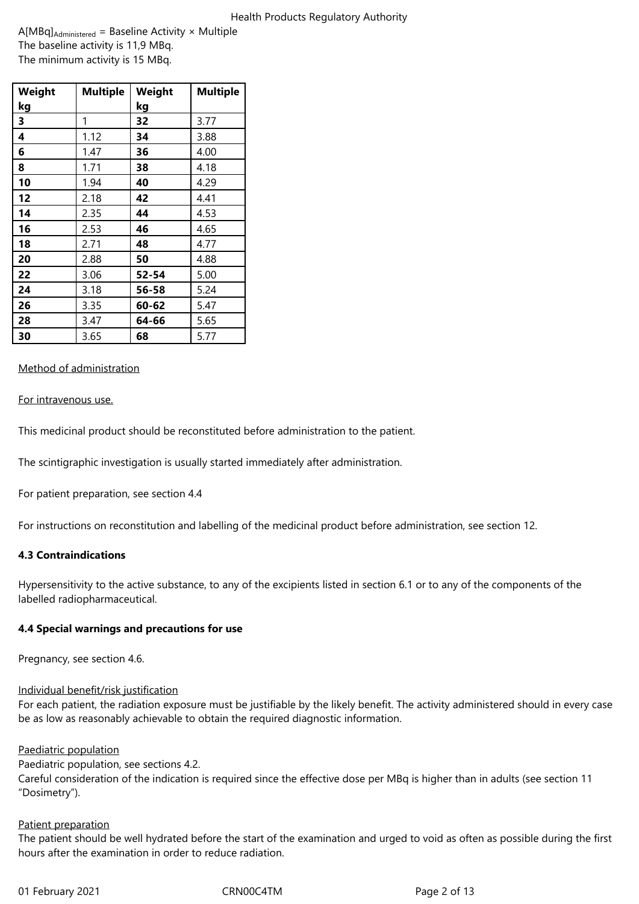A[MBq]Administered = Baseline Activity × Multiple The baseline activity is 11,9 MBq. The minimum activity is 15 MBq.

| Weight | <b>Multiple</b> | Weight | <b>Multiple</b> |
|--------|-----------------|--------|-----------------|
| kg     |                 | kg     |                 |
| 3      | 1               | 32     | 3.77            |
| 4      | 1.12            | 34     | 3.88            |
| 6      | 1.47            | 36     | 4.00            |
| 8      | 1.71            | 38     | 4.18            |
| 10     | 1.94            | 40     | 4.29            |
| 12     | 2.18            | 42     | 4.41            |
| 14     | 2.35            | 44     | 4.53            |
| 16     | 2.53            | 46     | 4.65            |
| 18     | 2.71            | 48     | 4.77            |
| 20     | 2.88            | 50     | 4.88            |
| 22     | 3.06            | 52-54  | 5.00            |
| 24     | 3.18            | 56-58  | 5.24            |
| 26     | 3.35            | 60-62  | 5.47            |
| 28     | 3.47            | 64-66  | 5.65            |
| 30     | 3.65            | 68     | 5.77            |

# Method of administration

For intravenous use.

This medicinal product should be reconstituted before administration to the patient.

The scintigraphic investigation is usually started immediately after administration.

For patient preparation, see section 4.4

For instructions on reconstitution and labelling of the medicinal product before administration, see section 12.

# **4.3 Contraindications**

Hypersensitivity to the active substance, to any of the excipients listed in section 6.1 or to any of the components of the labelled radiopharmaceutical.

# **4.4 Special warnings and precautions for use**

Pregnancy, see section 4.6.

# Individual benefit/risk justification

For each patient, the radiation exposure must be justifiable by the likely benefit. The activity administered should in every case be as low as reasonably achievable to obtain the required diagnostic information.

# Paediatric population

Paediatric population, see sections 4.2. Careful consideration of the indication is required since the effective dose per MBq is higher than in adults (see section 11 "Dosimetry").

# Patient preparation

The patient should be well hydrated before the start of the examination and urged to void as often as possible during the first hours after the examination in order to reduce radiation.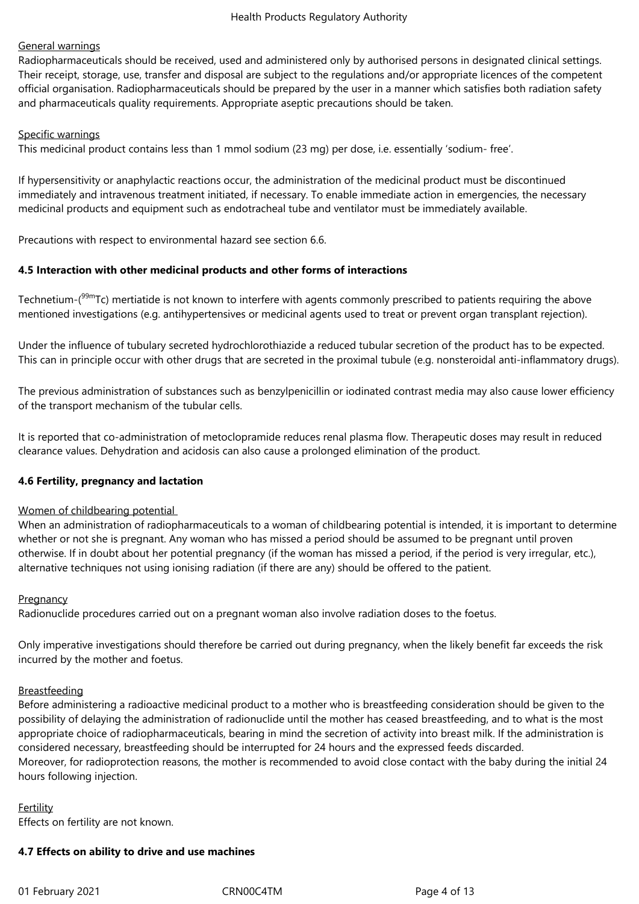# General warnings

Radiopharmaceuticals should be received, used and administered only by authorised persons in designated clinical settings. Their receipt, storage, use, transfer and disposal are subject to the regulations and/or appropriate licences of the competent official organisation. Radiopharmaceuticals should be prepared by the user in a manner which satisfies both radiation safety and pharmaceuticals quality requirements. Appropriate aseptic precautions should be taken.

# Specific warnings

This medicinal product contains less than 1 mmol sodium (23 mg) per dose, i.e. essentially 'sodium- free'.

If hypersensitivity or anaphylactic reactions occur, the administration of the medicinal product must be discontinued immediately and intravenous treatment initiated, if necessary. To enable immediate action in emergencies, the necessary medicinal products and equipment such as endotracheal tube and ventilator must be immediately available.

Precautions with respect to environmental hazard see section 6.6.

# **4.5 Interaction with other medicinal products and other forms of interactions**

Technetium-(<sup>99m</sup>Tc) mertiatide is not known to interfere with agents commonly prescribed to patients requiring the above mentioned investigations (e.g. antihypertensives or medicinal agents used to treat or prevent organ transplant rejection).

Under the influence of tubulary secreted hydrochlorothiazide a reduced tubular secretion of the product has to be expected. This can in principle occur with other drugs that are secreted in the proximal tubule (e.g. nonsteroidal anti-inflammatory drugs).

The previous administration of substances such as benzylpenicillin or iodinated contrast media may also cause lower efficiency of the transport mechanism of the tubular cells.

It is reported that co-administration of metoclopramide reduces renal plasma flow. Therapeutic doses may result in reduced clearance values. Dehydration and acidosis can also cause a prolonged elimination of the product.

# **4.6 Fertility, pregnancy and lactation**

# Women of childbearing potential

When an administration of radiopharmaceuticals to a woman of childbearing potential is intended, it is important to determine whether or not she is pregnant. Any woman who has missed a period should be assumed to be pregnant until proven otherwise. If in doubt about her potential pregnancy (if the woman has missed a period, if the period is very irregular, etc.), alternative techniques not using ionising radiation (if there are any) should be offered to the patient.

# **Pregnancy**

Radionuclide procedures carried out on a pregnant woman also involve radiation doses to the foetus.

Only imperative investigations should therefore be carried out during pregnancy, when the likely benefit far exceeds the risk incurred by the mother and foetus.

# Breastfeeding

Before administering a radioactive medicinal product to a mother who is breastfeeding consideration should be given to the possibility of delaying the administration of radionuclide until the mother has ceased breastfeeding, and to what is the most appropriate choice of radiopharmaceuticals, bearing in mind the secretion of activity into breast milk. If the administration is considered necessary, breastfeeding should be interrupted for 24 hours and the expressed feeds discarded. Moreover, for radioprotection reasons, the mother is recommended to avoid close contact with the baby during the initial 24 hours following injection.

# Fertility Effects on fertility are not known.

# **4.7 Effects on ability to drive and use machines**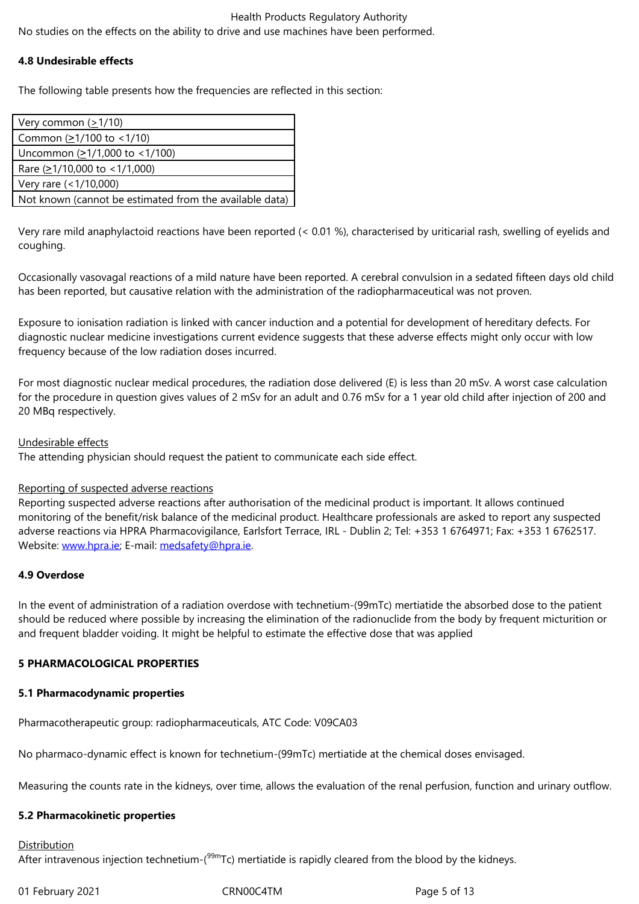#### **4.8 Undesirable effects**

The following table presents how the frequencies are reflected in this section:

| Very common $(\geq 1/10)$                               |
|---------------------------------------------------------|
| Common $(21/100$ to $< 1/10$ )                          |
| Uncommon $(21/1,000$ to <1/100)                         |
| Rare $(21/10,000$ to $< 1/1,000$ )                      |
| Very rare (<1/10,000)                                   |
| Not known (cannot be estimated from the available data) |

Very rare mild anaphylactoid reactions have been reported (< 0.01 %), characterised by uriticarial rash, swelling of eyelids and coughing.

Occasionally vasovagal reactions of a mild nature have been reported. A cerebral convulsion in a sedated fifteen days old child has been reported, but causative relation with the administration of the radiopharmaceutical was not proven.

Exposure to ionisation radiation is linked with cancer induction and a potential for development of hereditary defects. For diagnostic nuclear medicine investigations current evidence suggests that these adverse effects might only occur with low frequency because of the low radiation doses incurred.

For most diagnostic nuclear medical procedures, the radiation dose delivered (E) is less than 20 mSv. A worst case calculation for the procedure in question gives values of 2 mSv for an adult and 0.76 mSv for a 1 year old child after injection of 200 and 20 MBq respectively.

#### Undesirable effects

The attending physician should request the patient to communicate each side effect.

# Reporting of suspected adverse reactions

Reporting suspected adverse reactions after authorisation of the medicinal product is important. It allows continued monitoring of the benefit/risk balance of the medicinal product. Healthcare professionals are asked to report any suspected adverse reactions via HPRA Pharmacovigilance, Earlsfort Terrace, IRL - Dublin 2; Tel: +353 1 6764971; Fax: +353 1 6762517. Website: www.hpra.ie; E-mail: medsafety@hpra.ie.

# **4.9 Overdose**

In the ev[ent of admini](http://www.hpra.ie/)stration [of a radiation overd](mailto:medsafety@hpra.ie)ose with technetium-(99mTc) mertiatide the absorbed dose to the patient should be reduced where possible by increasing the elimination of the radionuclide from the body by frequent micturition or and frequent bladder voiding. It might be helpful to estimate the effective dose that was applied

# **5 PHARMACOLOGICAL PROPERTIES**

#### **5.1 Pharmacodynamic properties**

Pharmacotherapeutic group: radiopharmaceuticals, ATC Code: V09CA03

No pharmaco-dynamic effect is known for technetium-(99mTc) mertiatide at the chemical doses envisaged.

Measuring the counts rate in the kidneys, over time, allows the evaluation of the renal perfusion, function and urinary outflow.

# **5.2 Pharmacokinetic properties**

# **Distribution**

After intravenous injection technetium-( $99mTc$ ) mertiatide is rapidly cleared from the blood by the kidneys.

01 February 2021 **CRN00C4TM** CRN00C4TM Page 5 of 13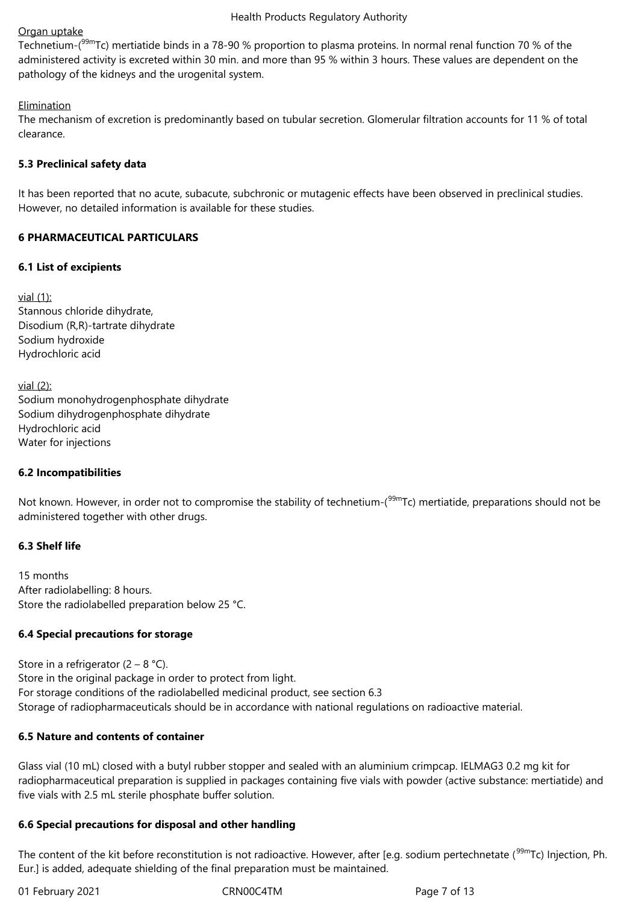# Organ uptake

Technetium-(<sup>99m</sup>Tc) mertiatide binds in a 78-90 % proportion to plasma proteins. In normal renal function 70 % of the administered activity is excreted within 30 min. and more than 95 % within 3 hours. These values are dependent on the pathology of the kidneys and the urogenital system.

# Elimination

The mechanism of excretion is predominantly based on tubular secretion. Glomerular filtration accounts for 11 % of total clearance.

# **5.3 Preclinical safety data**

It has been reported that no acute, subacute, subchronic or mutagenic effects have been observed in preclinical studies. However, no detailed information is available for these studies.

# **6 PHARMACEUTICAL PARTICULARS**

# **6.1 List of excipients**

vial (1): Stannous chloride dihydrate, Disodium (R,R)-tartrate dihydrate Sodium hydroxide Hydrochloric acid

vial (2): Sodium monohydrogenphosphate dihydrate Sodium dihydrogenphosphate dihydrate Hydrochloric acid Water for injections

# **6.2 Incompatibilities**

Not known. However, in order not to compromise the stability of technetium-(<sup>99m</sup>Tc) mertiatide, preparations should not be administered together with other drugs.

# **6.3 Shelf life**

15 months After radiolabelling: 8 hours. Store the radiolabelled preparation below 25 °C.

# **6.4 Special precautions for storage**

Store in a refrigerator  $(2 - 8 \degree C)$ . Store in the original package in order to protect from light. For storage conditions of the radiolabelled medicinal product, see section 6.3 Storage of radiopharmaceuticals should be in accordance with national regulations on radioactive material.

# **6.5 Nature and contents of container**

Glass vial (10 mL) closed with a butyl rubber stopper and sealed with an aluminium crimpcap. IELMAG3 0.2 mg kit for radiopharmaceutical preparation is supplied in packages containing five vials with powder (active substance: mertiatide) and five vials with 2.5 mL sterile phosphate buffer solution.

# **6.6 Special precautions for disposal and other handling**

The content of the kit before reconstitution is not radioactive. However, after [e.g. sodium pertechnetate (<sup>99m</sup>Tc) Injection, Ph. Eur.] is added, adequate shielding of the final preparation must be maintained.

01 February 2021 **CRN00C4TM** CRN00C4TM Page 7 of 13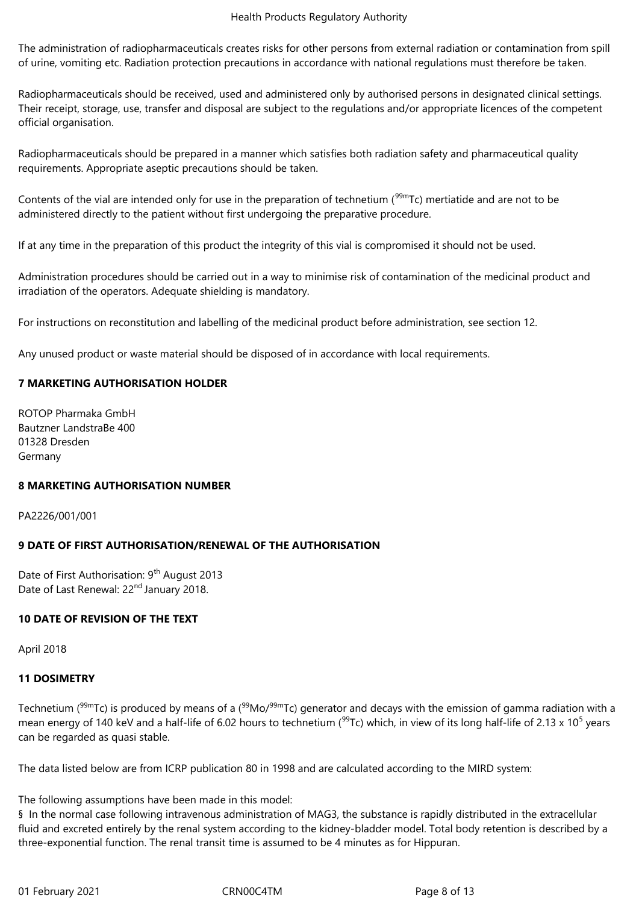The administration of radiopharmaceuticals creates risks for other persons from external radiation or contamination from spill of urine, vomiting etc. Radiation protection precautions in accordance with national regulations must therefore be taken.

Radiopharmaceuticals should be received, used and administered only by authorised persons in designated clinical settings. Their receipt, storage, use, transfer and disposal are subject to the regulations and/or appropriate licences of the competent official organisation.

Radiopharmaceuticals should be prepared in a manner which satisfies both radiation safety and pharmaceutical quality requirements. Appropriate aseptic precautions should be taken.

Contents of the vial are intended only for use in the preparation of technetium ( $99m$ Tc) mertiatide and are not to be administered directly to the patient without first undergoing the preparative procedure.

If at any time in the preparation of this product the integrity of this vial is compromised it should not be used.

Administration procedures should be carried out in a way to minimise risk of contamination of the medicinal product and irradiation of the operators. Adequate shielding is mandatory.

For instructions on reconstitution and labelling of the medicinal product before administration, see section 12.

Any unused product or waste material should be disposed of in accordance with local requirements.

# **7 MARKETING AUTHORISATION HOLDER**

ROTOP Pharmaka GmbH Bautzner LandstraBe 400 01328 Dresden Germany

# **8 MARKETING AUTHORISATION NUMBER**

PA2226/001/001

# **9 DATE OF FIRST AUTHORISATION/RENEWAL OF THE AUTHORISATION**

Date of First Authorisation: 9<sup>th</sup> August 2013 Date of Last Renewal: 22<sup>nd</sup> January 2018.

# **10 DATE OF REVISION OF THE TEXT**

April 2018

# **11 DOSIMETRY**

Technetium ( $99mTc$ ) is produced by means of a ( $99Mo/99mTc$ ) generator and decays with the emission of gamma radiation with a mean energy of 140 keV and a half-life of 6.02 hours to technetium ( $^{99}$ Tc) which, in view of its long half-life of 2.13 x 10<sup>5</sup> years can be regarded as quasi stable.

The data listed below are from ICRP publication 80 in 1998 and are calculated according to the MIRD system:

The following assumptions have been made in this model:

§ In the normal case following intravenous administration of MAG3, the substance is rapidly distributed in the extracellular fluid and excreted entirely by the renal system according to the kidney-bladder model. Total body retention is described by a three-exponential function. The renal transit time is assumed to be 4 minutes as for Hippuran.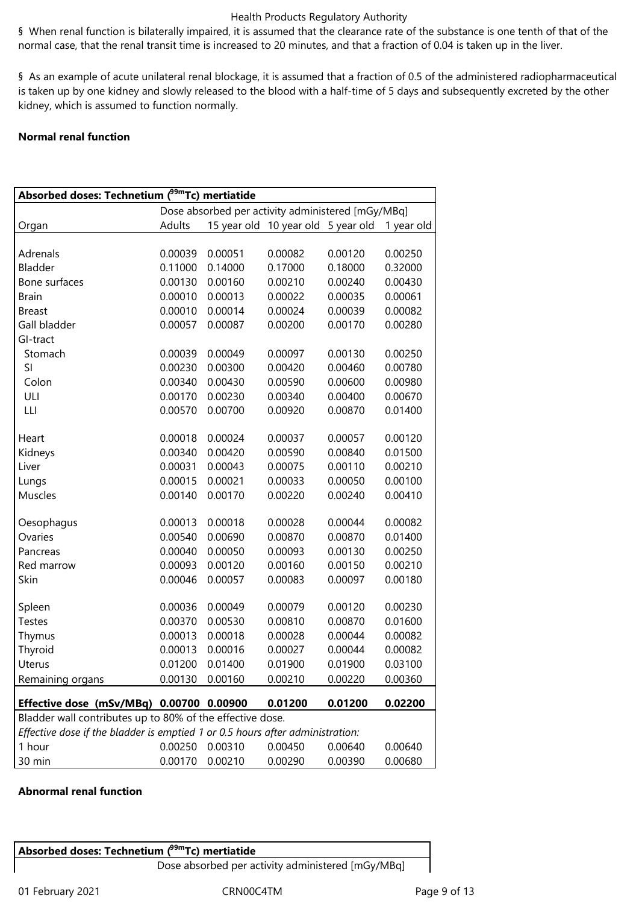§ When renal function is bilaterally impaired, it is assumed that the clearance rate of the substance is one tenth of that of the normal case, that the renal transit time is increased to 20 minutes, and that a fraction of 0.04 is taken up in the liver.

§ As an example of acute unilateral renal blockage, it is assumed that a fraction of 0.5 of the administered radiopharmaceutical is taken up by one kidney and slowly released to the blood with a half-time of 5 days and subsequently excreted by the other kidney, which is assumed to function normally.

# **Normal renal function**

| Absorbed doses: Technetium ( <sup>99m</sup> Tc) mertiatide                    |         |         |                                    |         |            |
|-------------------------------------------------------------------------------|---------|---------|------------------------------------|---------|------------|
| Dose absorbed per activity administered [mGy/MBq]                             |         |         |                                    |         |            |
| Organ                                                                         | Adults  |         | 15 year old 10 year old 5 year old |         | 1 year old |
|                                                                               |         |         |                                    |         |            |
| Adrenals                                                                      | 0.00039 | 0.00051 | 0.00082                            | 0.00120 | 0.00250    |
| Bladder                                                                       | 0.11000 | 0.14000 | 0.17000                            | 0.18000 | 0.32000    |
| Bone surfaces                                                                 | 0.00130 | 0.00160 | 0.00210                            | 0.00240 | 0.00430    |
| <b>Brain</b>                                                                  | 0.00010 | 0.00013 | 0.00022                            | 0.00035 | 0.00061    |
| <b>Breast</b>                                                                 | 0.00010 | 0.00014 | 0.00024                            | 0.00039 | 0.00082    |
| Gall bladder                                                                  | 0.00057 | 0.00087 | 0.00200                            | 0.00170 | 0.00280    |
| GI-tract                                                                      |         |         |                                    |         |            |
| Stomach                                                                       | 0.00039 | 0.00049 | 0.00097                            | 0.00130 | 0.00250    |
| SI                                                                            | 0.00230 | 0.00300 | 0.00420                            | 0.00460 | 0.00780    |
| Colon                                                                         | 0.00340 | 0.00430 | 0.00590                            | 0.00600 | 0.00980    |
| ULI                                                                           | 0.00170 | 0.00230 | 0.00340                            | 0.00400 | 0.00670    |
| LLI                                                                           | 0.00570 | 0.00700 | 0.00920                            | 0.00870 | 0.01400    |
|                                                                               |         |         |                                    |         |            |
| Heart                                                                         | 0.00018 | 0.00024 | 0.00037                            | 0.00057 | 0.00120    |
| Kidneys                                                                       | 0.00340 | 0.00420 | 0.00590                            | 0.00840 | 0.01500    |
| Liver                                                                         | 0.00031 | 0.00043 | 0.00075                            | 0.00110 | 0.00210    |
| Lungs                                                                         | 0.00015 | 0.00021 | 0.00033                            | 0.00050 | 0.00100    |
| Muscles                                                                       | 0.00140 | 0.00170 | 0.00220                            | 0.00240 | 0.00410    |
|                                                                               |         |         |                                    |         |            |
| Oesophagus                                                                    | 0.00013 | 0.00018 | 0.00028                            | 0.00044 | 0.00082    |
| Ovaries                                                                       | 0.00540 | 0.00690 | 0.00870                            | 0.00870 | 0.01400    |
| Pancreas                                                                      | 0.00040 | 0.00050 | 0.00093                            | 0.00130 | 0.00250    |
| Red marrow                                                                    | 0.00093 | 0.00120 | 0.00160                            | 0.00150 | 0.00210    |
| Skin                                                                          | 0.00046 | 0.00057 | 0.00083                            | 0.00097 | 0.00180    |
| Spleen                                                                        | 0.00036 | 0.00049 | 0.00079                            | 0.00120 | 0.00230    |
| <b>Testes</b>                                                                 | 0.00370 | 0.00530 | 0.00810                            | 0.00870 | 0.01600    |
| Thymus                                                                        | 0.00013 | 0.00018 | 0.00028                            | 0.00044 | 0.00082    |
| Thyroid                                                                       | 0.00013 | 0.00016 | 0.00027                            | 0.00044 | 0.00082    |
| Uterus                                                                        | 0.01200 | 0.01400 | 0.01900                            | 0.01900 | 0.03100    |
| Remaining organs                                                              | 0.00130 | 0.00160 | 0.00210                            | 0.00220 | 0.00360    |
|                                                                               |         |         |                                    |         |            |
| Effective dose (mSv/MBq) 0.00700 0.00900                                      |         |         | 0.01200                            | 0.01200 | 0.02200    |
| Bladder wall contributes up to 80% of the effective dose.                     |         |         |                                    |         |            |
| Effective dose if the bladder is emptied 1 or 0.5 hours after administration: |         |         |                                    |         |            |
| 1 hour                                                                        | 0.00250 | 0.00310 | 0.00450                            | 0.00640 | 0.00640    |
| 30 min                                                                        | 0.00170 | 0.00210 | 0.00290                            | 0.00390 | 0.00680    |

# **Abnormal renal function**

**Absorbed doses: Technetium (99mTc) mertiatide** 

Dose absorbed per activity administered [mGy/MBq]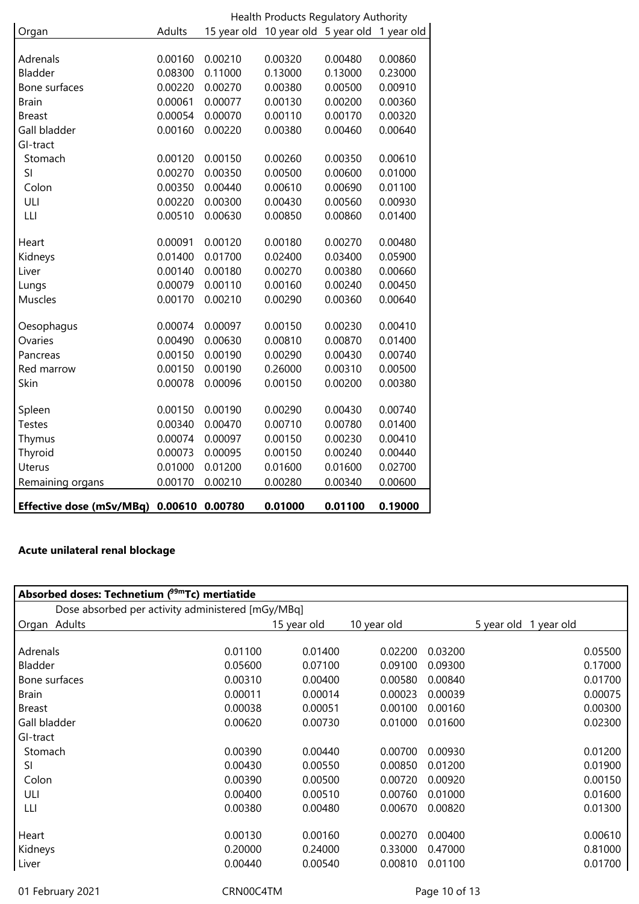|                                 | Health Products Regulatory Authority |         |                                               |         |         |
|---------------------------------|--------------------------------------|---------|-----------------------------------------------|---------|---------|
| Organ                           | Adults                               |         | 15 year old 10 year old 5 year old 1 year old |         |         |
|                                 |                                      |         |                                               |         |         |
| Adrenals                        | 0.00160                              | 0.00210 | 0.00320                                       | 0.00480 | 0.00860 |
| Bladder                         | 0.08300                              | 0.11000 | 0.13000                                       | 0.13000 | 0.23000 |
| Bone surfaces                   | 0.00220                              | 0.00270 | 0.00380                                       | 0.00500 | 0.00910 |
| <b>Brain</b>                    | 0.00061                              | 0.00077 | 0.00130                                       | 0.00200 | 0.00360 |
| <b>Breast</b>                   | 0.00054                              | 0.00070 | 0.00110                                       | 0.00170 | 0.00320 |
| Gall bladder                    | 0.00160                              | 0.00220 | 0.00380                                       | 0.00460 | 0.00640 |
| GI-tract                        |                                      |         |                                               |         |         |
| Stomach                         | 0.00120                              | 0.00150 | 0.00260                                       | 0.00350 | 0.00610 |
| SI                              | 0.00270                              | 0.00350 | 0.00500                                       | 0.00600 | 0.01000 |
| Colon                           | 0.00350                              | 0.00440 | 0.00610                                       | 0.00690 | 0.01100 |
| ULI                             | 0.00220                              | 0.00300 | 0.00430                                       | 0.00560 | 0.00930 |
| LLI                             | 0.00510                              | 0.00630 | 0.00850                                       | 0.00860 | 0.01400 |
|                                 |                                      |         |                                               |         |         |
| Heart                           | 0.00091                              | 0.00120 | 0.00180                                       | 0.00270 | 0.00480 |
| Kidneys                         | 0.01400                              | 0.01700 | 0.02400                                       | 0.03400 | 0.05900 |
| Liver                           | 0.00140                              | 0.00180 | 0.00270                                       | 0.00380 | 0.00660 |
| Lungs                           | 0.00079                              | 0.00110 | 0.00160                                       | 0.00240 | 0.00450 |
| Muscles                         | 0.00170                              | 0.00210 | 0.00290                                       | 0.00360 | 0.00640 |
|                                 |                                      |         |                                               |         |         |
| Oesophagus                      | 0.00074                              | 0.00097 | 0.00150                                       | 0.00230 | 0.00410 |
| Ovaries                         | 0.00490                              | 0.00630 | 0.00810                                       | 0.00870 | 0.01400 |
| Pancreas                        | 0.00150                              | 0.00190 | 0.00290                                       | 0.00430 | 0.00740 |
| Red marrow                      | 0.00150                              | 0.00190 | 0.26000                                       | 0.00310 | 0.00500 |
| Skin                            | 0.00078                              | 0.00096 | 0.00150                                       | 0.00200 | 0.00380 |
|                                 |                                      |         |                                               |         |         |
| Spleen                          | 0.00150                              | 0.00190 | 0.00290                                       | 0.00430 | 0.00740 |
| <b>Testes</b>                   | 0.00340                              | 0.00470 | 0.00710                                       | 0.00780 | 0.01400 |
| Thymus                          | 0.00074                              | 0.00097 | 0.00150                                       | 0.00230 | 0.00410 |
| Thyroid                         | 0.00073                              | 0.00095 | 0.00150                                       | 0.00240 | 0.00440 |
| Uterus                          | 0.01000                              | 0.01200 | 0.01600                                       | 0.01600 | 0.02700 |
| Remaining organs                | 0.00170                              | 0.00210 | 0.00280                                       | 0.00340 | 0.00600 |
| <b>Effective dose (mSv/MBq)</b> | 0.00610                              | 0.00780 | 0.01000                                       | 0.01100 | 0.19000 |

# **Acute unilateral renal blockage**

| Absorbed doses: Technetium $(^{99m}$ Tc) mertiatide |           |             |             |               |                       |         |
|-----------------------------------------------------|-----------|-------------|-------------|---------------|-----------------------|---------|
| Dose absorbed per activity administered [mGy/MBq]   |           |             |             |               |                       |         |
| Organ Adults                                        |           | 15 year old | 10 year old |               | 5 year old 1 year old |         |
|                                                     |           |             |             |               |                       |         |
| Adrenals                                            | 0.01100   | 0.01400     | 0.02200     | 0.03200       |                       | 0.05500 |
| Bladder                                             | 0.05600   | 0.07100     | 0.09100     | 0.09300       |                       | 0.17000 |
| Bone surfaces                                       | 0.00310   | 0.00400     | 0.00580     | 0.00840       |                       | 0.01700 |
| <b>Brain</b>                                        | 0.00011   | 0.00014     | 0.00023     | 0.00039       |                       | 0.00075 |
| <b>Breast</b>                                       | 0.00038   | 0.00051     | 0.00100     | 0.00160       |                       | 0.00300 |
| Gall bladder                                        | 0.00620   | 0.00730     | 0.01000     | 0.01600       |                       | 0.02300 |
| GI-tract                                            |           |             |             |               |                       |         |
| Stomach                                             | 0.00390   | 0.00440     | 0.00700     | 0.00930       |                       | 0.01200 |
| SI                                                  | 0.00430   | 0.00550     | 0.00850     | 0.01200       |                       | 0.01900 |
| Colon                                               | 0.00390   | 0.00500     | 0.00720     | 0.00920       |                       | 0.00150 |
| ULI                                                 | 0.00400   | 0.00510     | 0.00760     | 0.01000       |                       | 0.01600 |
| LЦ                                                  | 0.00380   | 0.00480     | 0.00670     | 0.00820       |                       | 0.01300 |
|                                                     |           |             |             |               |                       |         |
| Heart                                               | 0.00130   | 0.00160     | 0.00270     | 0.00400       |                       | 0.00610 |
| Kidneys                                             | 0.20000   | 0.24000     | 0.33000     | 0.47000       |                       | 0.81000 |
| Liver                                               | 0.00440   | 0.00540     | 0.00810     | 0.01100       |                       | 0.01700 |
| 01 February 2021                                    | CRN00C4TM |             |             | Page 10 of 13 |                       |         |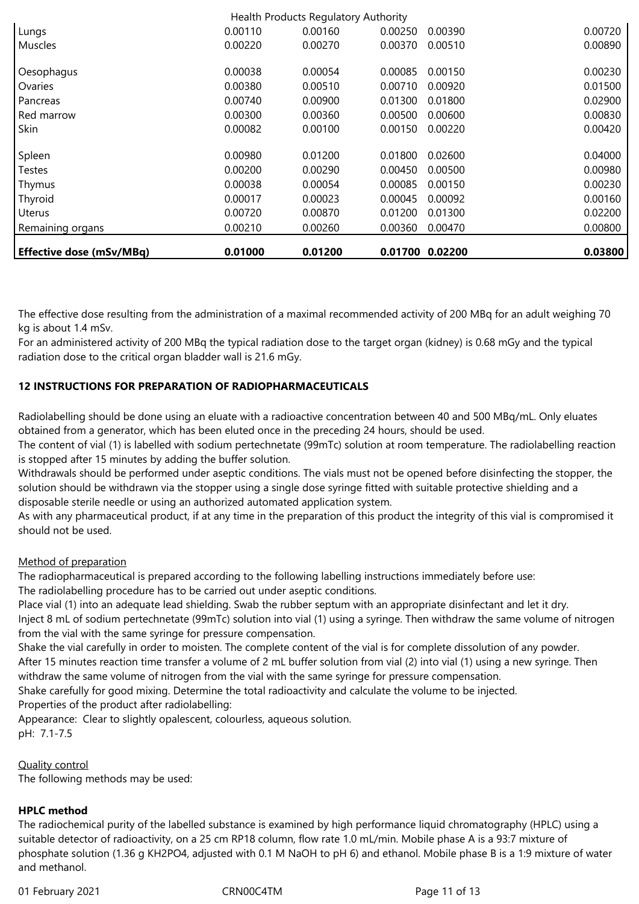| <b>Effective dose (mSv/MBq)</b> | 0.01000 | 0.01200                              |         | 0.01700 0.02200 | 0.03800 |
|---------------------------------|---------|--------------------------------------|---------|-----------------|---------|
| Remaining organs                | 0.00210 | 0.00260                              | 0.00360 | 0.00470         | 0.00800 |
| <b>Uterus</b>                   | 0.00720 | 0.00870                              | 0.01200 | 0.01300         | 0.02200 |
| Thyroid                         | 0.00017 | 0.00023                              | 0.00045 | 0.00092         | 0.00160 |
| Thymus                          | 0.00038 | 0.00054                              | 0.00085 | 0.00150         | 0.00230 |
| Testes                          | 0.00200 | 0.00290                              | 0.00450 | 0.00500         | 0.00980 |
| Spleen                          | 0.00980 | 0.01200                              | 0.01800 | 0.02600         | 0.04000 |
| Skin                            | 0.00082 | 0.00100                              | 0.00150 | 0.00220         | 0.00420 |
| Red marrow                      | 0.00300 | 0.00360                              | 0.00500 | 0.00600         | 0.00830 |
| Pancreas                        | 0.00740 | 0.00900                              | 0.01300 | 0.01800         | 0.02900 |
| Ovaries                         | 0.00380 | 0.00510                              | 0.00710 | 0.00920         | 0.01500 |
| Oesophagus                      | 0.00038 | 0.00054                              | 0.00085 | 0.00150         | 0.00230 |
| <b>Muscles</b>                  | 0.00220 | 0.00270                              | 0.00370 | 0.00510         | 0.00890 |
| Lungs                           | 0.00110 | 0.00160                              | 0.00250 | 0.00390         | 0.00720 |
|                                 |         | Health Products Regulatory Authority |         |                 |         |

The effective dose resulting from the administration of a maximal recommended activity of 200 MBq for an adult weighing 70 kg is about 1.4 mSv.

For an administered activity of 200 MBq the typical radiation dose to the target organ (kidney) is 0.68 mGy and the typical radiation dose to the critical organ bladder wall is 21.6 mGy.

# **12 INSTRUCTIONS FOR PREPARATION OF RADIOPHARMACEUTICALS**

Radiolabelling should be done using an eluate with a radioactive concentration between 40 and 500 MBq/mL. Only eluates obtained from a generator, which has been eluted once in the preceding 24 hours, should be used.

The content of vial (1) is labelled with sodium pertechnetate (99mTc) solution at room temperature. The radiolabelling reaction is stopped after 15 minutes by adding the buffer solution.

Withdrawals should be performed under aseptic conditions. The vials must not be opened before disinfecting the stopper, the solution should be withdrawn via the stopper using a single dose syringe fitted with suitable protective shielding and a disposable sterile needle or using an authorized automated application system.

As with any pharmaceutical product, if at any time in the preparation of this product the integrity of this vial is compromised it should not be used.

# Method of preparation

The radiopharmaceutical is prepared according to the following labelling instructions immediately before use: The radiolabelling procedure has to be carried out under aseptic conditions.

Place vial (1) into an adequate lead shielding. Swab the rubber septum with an appropriate disinfectant and let it dry.

Inject 8 mL of sodium pertechnetate (99mTc) solution into vial (1) using a syringe. Then withdraw the same volume of nitrogen from the vial with the same syringe for pressure compensation.

Shake the vial carefully in order to moisten. The complete content of the vial is for complete dissolution of any powder. After 15 minutes reaction time transfer a volume of 2 mL buffer solution from vial (2) into vial (1) using a new syringe. Then withdraw the same volume of nitrogen from the vial with the same syringe for pressure compensation.

Shake carefully for good mixing. Determine the total radioactivity and calculate the volume to be injected.

Properties of the product after radiolabelling:

Appearance: Clear to slightly opalescent, colourless, aqueous solution. pH: 7.1-7.5

Quality control

The following methods may be used:

# **HPLC method**

The radiochemical purity of the labelled substance is examined by high performance liquid chromatography (HPLC) using a suitable detector of radioactivity, on a 25 cm RP18 column, flow rate 1.0 mL/min. Mobile phase A is a 93:7 mixture of phosphate solution (1.36 g KH2PO4, adjusted with 0.1 M NaOH to pH 6) and ethanol. Mobile phase B is a 1:9 mixture of water and methanol.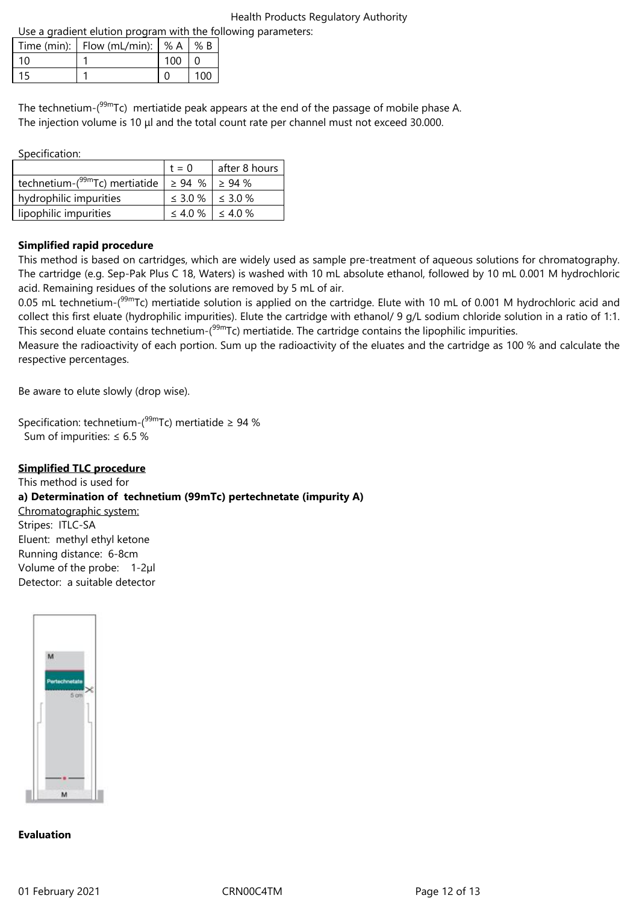Use a gradient elution program with the following parameters:

| <u>USE a gradient elution program with the ion</u> |                                        |     |     |  |  |
|----------------------------------------------------|----------------------------------------|-----|-----|--|--|
|                                                    | Time (min): $ $ Flow (mL/min): $ % A $ |     | % B |  |  |
| 10 <sup>1</sup>                                    |                                        | 100 |     |  |  |
| 15                                                 |                                        |     | 100 |  |  |

The technetium-(<sup>99m</sup>Tc) mertiatide peak appears at the end of the passage of mobile phase A. The injection volume is 10 μl and the total count rate per channel must not exceed 30.000.

Specification:

|                                            | $t = 0$                     | after 8 hours |
|--------------------------------------------|-----------------------------|---------------|
| technetium-( <sup>99m</sup> Tc) mertiatide | $\geq$ 94 % $\geq$ 94 %     |               |
| hydrophilic impurities                     | $\leq$ 3.0 % $\leq$ 3.0 %   |               |
| lipophilic impurities                      | $\leq 4.0 \%$ $\leq 4.0 \%$ |               |

# **Simplified rapid procedure**

This method is based on cartridges, which are widely used as sample pre-treatment of aqueous solutions for chromatography. The cartridge (e.g. Sep-Pak Plus C 18, Waters) is washed with 10 mL absolute ethanol, followed by 10 mL 0.001 M hydrochloric acid. Remaining residues of the solutions are removed by 5 mL of air.

0.05 mL technetium-( $99mTc$ ) mertiatide solution is applied on the cartridge. Elute with 10 mL of 0.001 M hydrochloric acid and collect this first eluate (hydrophilic impurities). Elute the cartridge with ethanol/ 9 g/L sodium chloride solution in a ratio of 1:1. This second eluate contains technetium-(<sup>99m</sup>Tc) mertiatide. The cartridge contains the lipophilic impurities.

Measure the radioactivity of each portion. Sum up the radioactivity of the eluates and the cartridge as 100 % and calculate the respective percentages.

Be aware to elute slowly (drop wise).

Specification: technetium-( $99m$ Tc) mertiatide  $\geq 94$  % Sum of impurities: ≤ 6.5 %

# **Simplified TLC procedure**

This method is used for **a) Determination of technetium (99mTc) pertechnetate (impurity A)** Chromatographic system: Stripes: ITLC-SA Eluent: methyl ethyl ketone Running distance: 6-8cm Volume of the probe: 1-2µl Detector: a suitable detector



#### **Evaluation**